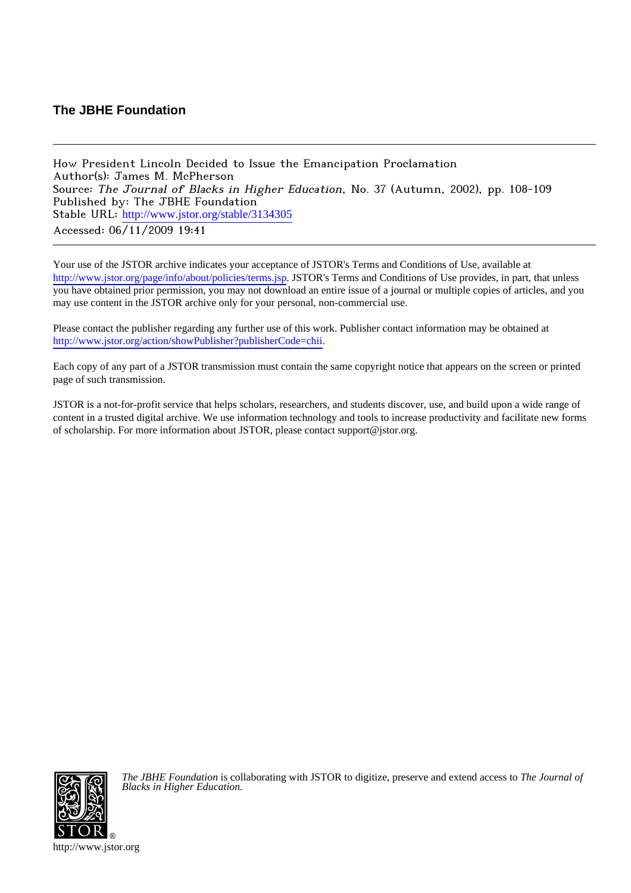## **The JBHE Foundation**

How President Lincoln Decided to Issue the Emancipation Proclamation Author(s): James M. McPherson Source: The Journal of Blacks in Higher Education, No. 37 (Autumn, 2002), pp. 108-109 Published by: The JBHE Foundation Stable URL: [http://www.jstor.org/stable/3134305](http://www.jstor.org/stable/3134305?origin=JSTOR-pdf) Accessed: 06/11/2009 19:41

Your use of the JSTOR archive indicates your acceptance of JSTOR's Terms and Conditions of Use, available at <http://www.jstor.org/page/info/about/policies/terms.jsp>. JSTOR's Terms and Conditions of Use provides, in part, that unless you have obtained prior permission, you may not download an entire issue of a journal or multiple copies of articles, and you may use content in the JSTOR archive only for your personal, non-commercial use.

Please contact the publisher regarding any further use of this work. Publisher contact information may be obtained at [http://www.jstor.org/action/showPublisher?publisherCode=chii.](http://www.jstor.org/action/showPublisher?publisherCode=chii)

Each copy of any part of a JSTOR transmission must contain the same copyright notice that appears on the screen or printed page of such transmission.

JSTOR is a not-for-profit service that helps scholars, researchers, and students discover, use, and build upon a wide range of content in a trusted digital archive. We use information technology and tools to increase productivity and facilitate new forms of scholarship. For more information about JSTOR, please contact support@jstor.org.



*The JBHE Foundation* is collaborating with JSTOR to digitize, preserve and extend access to *The Journal of Blacks in Higher Education.*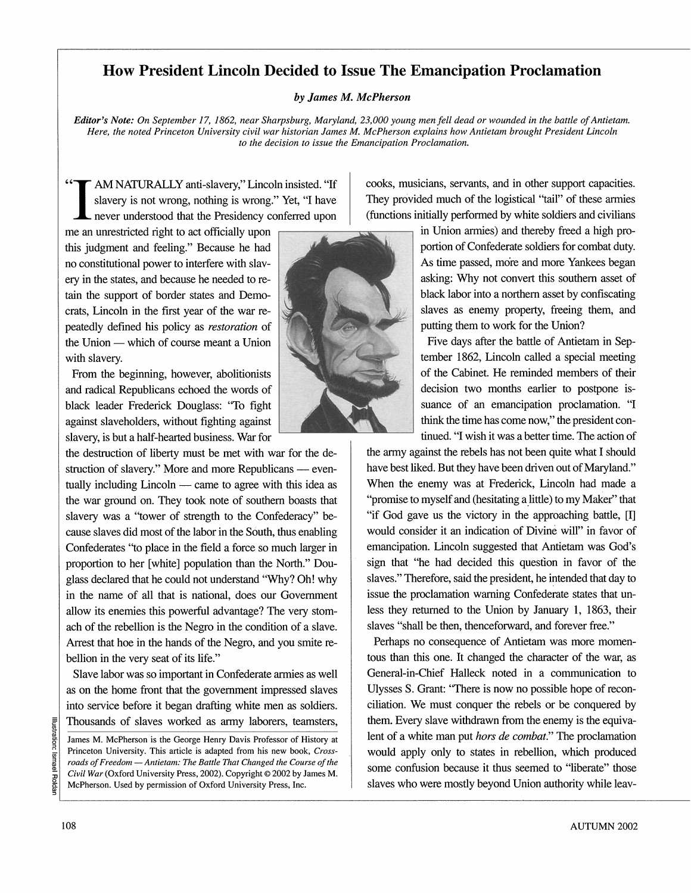## **How President Lincoln Decided to Issue The Emancipation Proclamation**

## **by James M. McPherson**

Editor's Note: On September 17, 1862, near Sharpsburg, Maryland, 23,000 young men fell dead or wounded in the battle of Antietam. **Here, the noted Princeton University civil war historian James M. McPherson explains how Antietam brought President Lincoln to the decision to issue the Emancipation Proclamation.** 

**AM NATURALLY anti-slavery," Lincoln insisted. "If slavery is not wrong, nothing is wrong." Yet, "I have " never understood that the Presidency conferred upon** 

**me an unrestricted right to act officially upon this judgment and feeling." Because he had no constitutional power to interfere with slavery in the states, and because he needed to retain the support of border states and Democrats, Lincoln in the first year of the war repeatedly defined his policy as restoration of <sup>t</sup> the Union - which of course meant a Union with slavery.** 

**From the beginning, however, abolitionists and radical Republicans echoed the words of black leader Frederick Douglass: "To fight against slaveholders, without fighting against slavery, is but a half-hearted business. War for** 

**the destruction of liberty must be met with war for the de**struction of slavery." More and more Republicans — eventually including Lincoln — came to agree with this idea as **the war ground on. They took note of southern boasts that slavery was a "tower of strength to the Confederacy" because slaves did most of the labor in the South, thus enabling Confederates "to place in the field a force so much larger in proportion to her [white] population than the North." Douglass declared that he could not understand "Why? Oh! why in the name of all that is national, does our Government allow its enemies this powerful advantage? The very stomach of the rebellion is the Negro in the condition of a slave. Arrest that hoe in the hands of the Negro, and you smite rebellion in the very seat of its life."** 

**Slave labor was so important in Confederate armies as well as on the home front that the government impressed slaves into service before it began drafting white men as soldiers. Thousands of slaves worked as army laborers, teamsters,** 

**James M. McPherson is the George Henry Davis Professor of History at Princeton University. This article is adapted from his new book, Cross**roads of Freedom - Antietam: The Battle That Changed the Course of the Civil War (Oxford University Press, 2002). Copyright © 2002 by James M. **McPherson. Used by permission of Oxford University Press, Inc.** 



**cooks, musicians, servants, and in other support capacities. They provided much of the logistical "tail" of these armies (functions initially performed by white soldiers and civilians** 

> **in Union armies) and thereby freed a high proportion of Confederate soldiers for combat duty. As time passed, more and more Yankees began asking: Why not convert this southern asset of black labor into a northern asset by confiscating**  slaves as enemy property, freeing them, and **putting them to work for the Union?**

> Five days after the battle of Antietam in Sep**tember 1862, Lincoln called a special meeting of the Cabinet. He reminded members of their decision two months earlier to postpone issuance of an emancipation proclamation. "I think the time has come now," the president continued. "I wish it was a better time. The action of**

**the army against the rebels has not been quite what I should have best liked. But they have been driven out of Maryland." When the enemy was at Frederick, Lincoln had made a "promise to myself and (hesitating a little) to my Maker" that "if God gave us the victory in the approaching battle, [I] would consider it an indication of Divine will" in favor of emancipation. Lincoln suggested that Antietam was God's sign that "he had decided this question in favor of the slaves." Therefore, said the president, he intended that day to issue the proclamation warning Confederate states that unless they returned to the Union by January 1, 1863, their slaves "shall be then, thenceforward, and forever free."** 

**Perhaps no consequence of Antietam was more momentous than this one. It changed the character of the war, as General-in-Chief Halleck noted in a communication to Ulysses S. Grant: "There is now no possible hope of reconciliation. We must conquer the rebels or be conquered by them. Every slave withdrawn from the enemy is the equivalent of a white man put hors de combat." The proclamation would apply only to states in rebellion, which produced some confusion because it thus seemed to "liberate" those slaves who were mostly beyond Union authority while leav-**

**c**